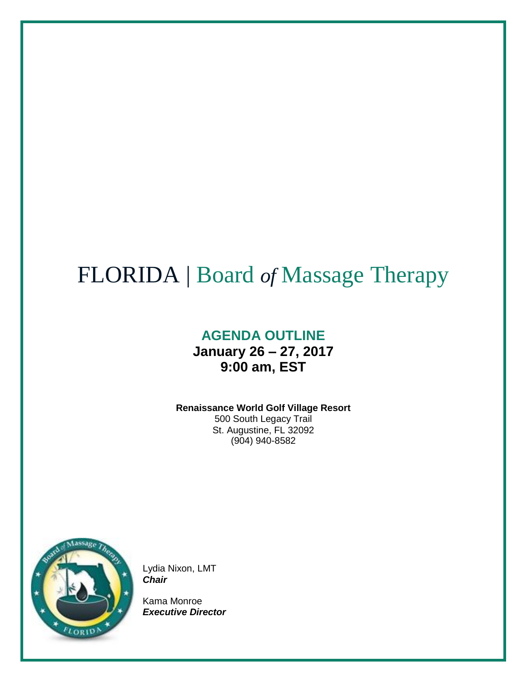# FLORIDA | Board *of* Massage Therapy

# **AGENDA OUTLINE January 26 – 27, 2017 9:00 am, EST**

# **Renaissance World Golf Village Resort**

500 South Legacy Trail St. Augustine, FL 32092 (904) 940-8582



Lydia Nixon, LMT *Chair*

Kama Monroe *Executive Director*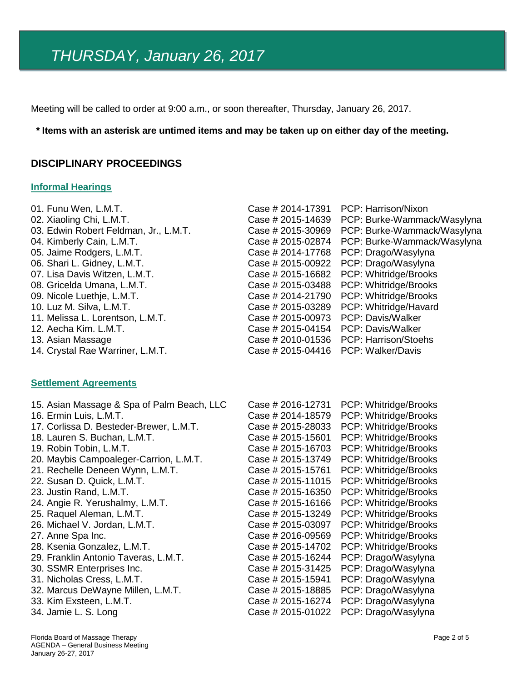Meeting will be called to order at 9:00 a.m., or soon thereafter, Thursday, January 26, 2017.

#### \* Items with an asterisk are untimed items and may be taken up on either day of the meeting.

#### **DISCIPLINARY PROCEEDINGS**

#### **Informal Hearings**

| 01. Funu Wen, L.M.T.                       | Case # 2014-17391 | PCP: Harrison/Nixon         |
|--------------------------------------------|-------------------|-----------------------------|
| 02. Xiaoling Chi, L.M.T.                   | Case # 2015-14639 | PCP: Burke-Wammack/Wasylyna |
| 03. Edwin Robert Feldman, Jr., L.M.T.      | Case # 2015-30969 | PCP: Burke-Wammack/Wasylyna |
| 04. Kimberly Cain, L.M.T.                  | Case # 2015-02874 | PCP: Burke-Wammack/Wasylyna |
| 05. Jaime Rodgers, L.M.T.                  | Case # 2014-17768 | PCP: Drago/Wasylyna         |
| 06. Shari L. Gidney, L.M.T.                | Case # 2015-00922 | PCP: Drago/Wasylyna         |
| 07. Lisa Davis Witzen, L.M.T.              | Case # 2015-16682 | PCP: Whitridge/Brooks       |
| 08. Gricelda Umana, L.M.T.                 | Case # 2015-03488 | PCP: Whitridge/Brooks       |
| 09. Nicole Luethje, L.M.T.                 | Case # 2014-21790 | PCP: Whitridge/Brooks       |
| 10. Luz M. Silva, L.M.T.                   | Case # 2015-03289 | PCP: Whitridge/Havard       |
| 11. Melissa L. Lorentson, L.M.T.           | Case # 2015-00973 | PCP: Davis/Walker           |
| 12. Aecha Kim. L.M.T.                      | Case # 2015-04154 | PCP: Davis/Walker           |
| 13. Asian Massage                          | Case # 2010-01536 | PCP: Harrison/Stoehs        |
| 14. Crystal Rae Warriner, L.M.T.           | Case # 2015-04416 | PCP: Walker/Davis           |
| <b>Settlement Agreements</b>               |                   |                             |
| 15. Asian Massage & Spa of Palm Beach, LLC | Case # 2016-12731 | PCP: Whitridge/Brooks       |
| 16. Ermin Luis, L.M.T.                     | Case # 2014-18579 | PCP: Whitridge/Brooks       |
| 17. Corlissa D. Besteder-Brewer, L.M.T.    | Case # 2015-28033 | PCP: Whitridge/Brooks       |
| 18. Lauren S. Buchan, L.M.T.               | Case # 2015-15601 | PCP: Whitridge/Brooks       |
| 19. Robin Tobin, L.M.T.                    | Case # 2015-16703 | PCP: Whitridge/Brooks       |
| 20. Maybis Campoaleger-Carrion, L.M.T.     | Case # 2015-13749 | PCP: Whitridge/Brooks       |
| 21. Rechelle Deneen Wynn, L.M.T.           | Case # 2015-15761 | PCP: Whitridge/Brooks       |
| 22. Susan D. Quick, L.M.T.                 | Case # 2015-11015 | PCP: Whitridge/Brooks       |
| 23. Justin Rand, L.M.T.                    | Case # 2015-16350 | PCP: Whitridge/Brooks       |
| 24. Angie R. Yerushalmy, L.M.T.            | Case # 2015-16166 | PCP: Whitridge/Brooks       |
| 25. Raquel Aleman, L.M.T.                  | Case # 2015-13249 | PCP: Whitridge/Brooks       |
| 26. Michael V. Jordan, L.M.T.              | Case # 2015-03097 | PCP: Whitridge/Brooks       |
| 27. Anne Spa Inc.                          | Case # 2016-09569 | PCP: Whitridge/Brooks       |
| 28. Ksenia Gonzalez, L.M.T.                | Case # 2015-14702 | PCP: Whitridge/Brooks       |
| 29. Franklin Antonio Taveras, L.M.T.       | Case # 2015-16244 | PCP: Drago/Wasylyna         |
| 30. SSMR Enterprises Inc.                  | Case # 2015-31425 | PCP: Drago/Wasylyna         |
| 31. Nicholas Cress, L.M.T.                 | Case # 2015-15941 | PCP: Drago/Wasylyna         |
| 32. Marcus DeWayne Millen, L.M.T.          | Case # 2015-18885 | PCP: Drago/Wasylyna         |
| 33. Kim Exsteen, L.M.T.                    | Case # 2015-16274 | PCP: Drago/Wasylyna         |
| 34. Jamie L. S. Long                       | Case # 2015-01022 | PCP: Drago/Wasylyna         |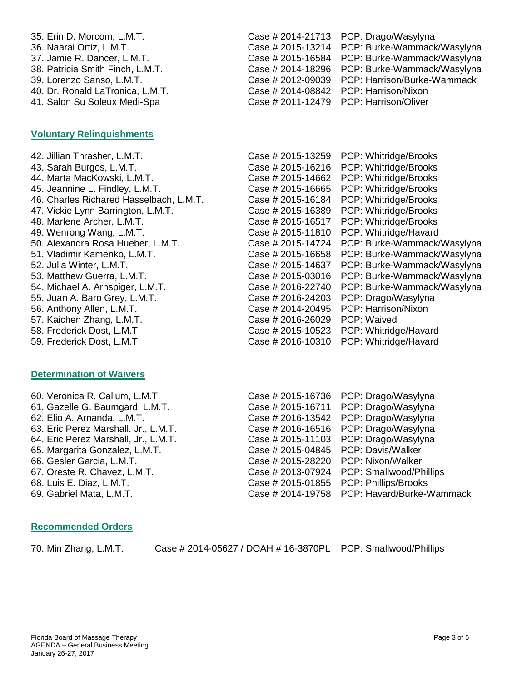35. Erin D. Morcom, L.M.T. Case # 2014-21713 PCP: Drago/Wasylyna 36. Naarai Ortiz, L.M.T. Case # 2015-13214 PCP: Burke-Wammack/Wasylyna 37. Jamie R. Dancer, L.M.T. Case # 2015-16584 PCP: Burke-Wammack/Wasylyna 38. Patricia Smith Finch, L.M.T. Case # 2014-18296 PCP: Burke-Wammack/Wasylyna 39. Lorenzo Sanso, L.M.T. Case # 2012-09039 PCP: Harrison/Burke-Wammack 40. Dr. Ronald LaTronica, L.M.T. Case # 2014-08842 PCP: Harrison/Nixon 41. Salon Su Soleux Medi-Spa Case # 2011-12479 PCP: Harrison/Oliver

# **Voluntary Relinquishments**

# **Determination of Waivers**

60. Veronica R. Callum, L.M.T. Case # 2015-16736 PCP: 0 61. Gazelle G. Baumgard, L.M.T. 62. Elio A. Arnanda, L.M.T. 63. Eric Perez Marshall. Jr., L.M.T. 64. Eric Perez Marshall, Jr., L.M.T. 65. Margarita Gonzalez, L.M.T. 66. Gesler Garcia, L.M.T. 67. Oreste R. Chavez, L.M.T. 68. Luis E. Diaz, L.M.T.

69. Gabriel Mata, L.M.T. Case # 2014-19758 PCP: Havard/Burke-Wammack

# **Recommended Orders**

70. Min Zhang, L.M.T. Case # 2014-05627 / DOAH # 16-3870PL PCP: Smallwood/Phillips

| Case # 2015-16736 | PCP: Drago/Wasylyna     |
|-------------------|-------------------------|
| Case # 2015-16711 | PCP: Drago/Wasylyna     |
| Case # 2016-13542 | PCP: Drago/Wasylyna     |
| Case # 2016-16516 | PCP: Drago/Wasylyna     |
|                   | PCP: Drago/Wasylyna     |
| Case # 2015-04845 | PCP: Davis/Walker       |
| Case # 2015-28220 | PCP: Nixon/Walker       |
| Case # 2013-07924 | PCP: Smallwood/Phillips |
|                   | PCP: Phillips/Brooks    |
|                   |                         |

| 42. Jillian Thrasher, L.M.T.            | Case # 2015-13259 | PCP: Whitridge/Brooks       |
|-----------------------------------------|-------------------|-----------------------------|
| 43. Sarah Burgos, L.M.T.                | Case # 2015-16216 | PCP: Whitridge/Brooks       |
| 44. Marta MacKowski, L.M.T.             | Case # 2015-14662 | PCP: Whitridge/Brooks       |
| 45. Jeannine L. Findley, L.M.T.         | Case # 2015-16665 | PCP: Whitridge/Brooks       |
| 46. Charles Richared Hasselbach, L.M.T. | Case # 2015-16184 | PCP: Whitridge/Brooks       |
| 47. Vickie Lynn Barrington, L.M.T.      | Case # 2015-16389 | PCP: Whitridge/Brooks       |
| 48. Marlene Archer, L.M.T.              | Case # 2015-16517 | PCP: Whitridge/Brooks       |
| 49. Wenrong Wang, L.M.T.                | Case # 2015-11810 | PCP: Whitridge/Havard       |
| 50. Alexandra Rosa Hueber, L.M.T.       | Case # 2015-14724 | PCP: Burke-Wammack/Wasylyna |
| 51. Vladimir Kamenko, L.M.T.            | Case # 2015-16658 | PCP: Burke-Wammack/Wasylyna |
| 52. Julia Winter, L.M.T.                | Case # 2015-14637 | PCP: Burke-Wammack/Wasylyna |
| 53. Matthew Guerra, L.M.T.              | Case # 2015-03016 | PCP: Burke-Wammack/Wasylyna |
| 54. Michael A. Arnspiger, L.M.T.        | Case # 2016-22740 | PCP: Burke-Wammack/Wasylyna |
| 55. Juan A. Baro Grey, L.M.T.           | Case # 2016-24203 | PCP: Drago/Wasylyna         |
| 56. Anthony Allen, L.M.T.               | Case # 2014-20495 | PCP: Harrison/Nixon         |
| 57. Kaichen Zhang, L.M.T.               | Case # 2016-26029 | PCP: Waived                 |
| 58. Frederick Dost, L.M.T.              | Case # 2015-10523 | PCP: Whitridge/Havard       |
| 59. Frederick Dost, L.M.T.              | Case # 2016-10310 | PCP: Whitridge/Havard       |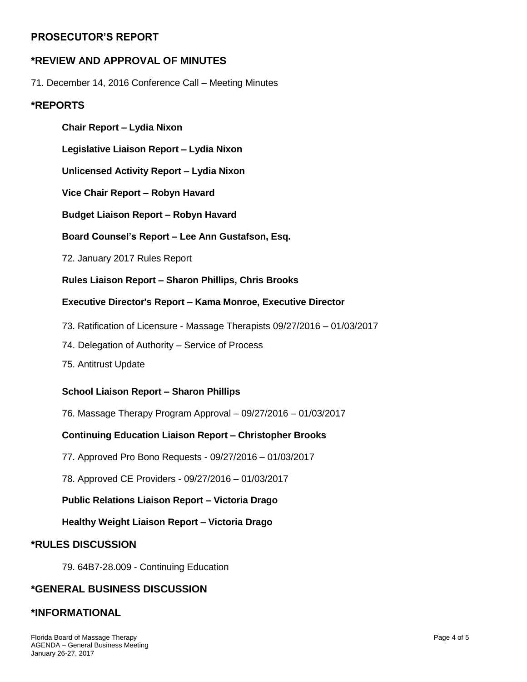# **PROSECUTOR'S REPORT**

# **\*REVIEW AND APPROVAL OF MINUTES**

71. December 14, 2016 Conference Call – Meeting Minutes

#### **\*REPORTS**

**Chair Report – Lydia Nixon Legislative Liaison Report – Lydia Nixon Unlicensed Activity Report – Lydia Nixon Vice Chair Report – Robyn Havard Budget Liaison Report – Robyn Havard Board Counsel's Report – Lee Ann Gustafson, Esq.** 72. January 2017 Rules Report **Rules Liaison Report – Sharon Phillips, Chris Brooks Executive Director's Report – Kama Monroe, Executive Director** 73. Ratification of Licensure - Massage Therapists 09/27/2016 – 01/03/2017 74. Delegation of Authority – Service of Process 75. Antitrust Update **School Liaison Report – Sharon Phillips**

76. Massage Therapy Program Approval – 09/27/2016 – 01/03/2017

#### **Continuing Education Liaison Report – Christopher Brooks**

77. Approved Pro Bono Requests - 09/27/2016 – 01/03/2017

78. Approved CE Providers - 09/27/2016 – 01/03/2017

**Public Relations Liaison Report – Victoria Drago**

**Healthy Weight Liaison Report – Victoria Drago**

#### **\*RULES DISCUSSION**

79. 64B7-28.009 - Continuing Education

#### **\*GENERAL BUSINESS DISCUSSION**

#### **\*INFORMATIONAL**